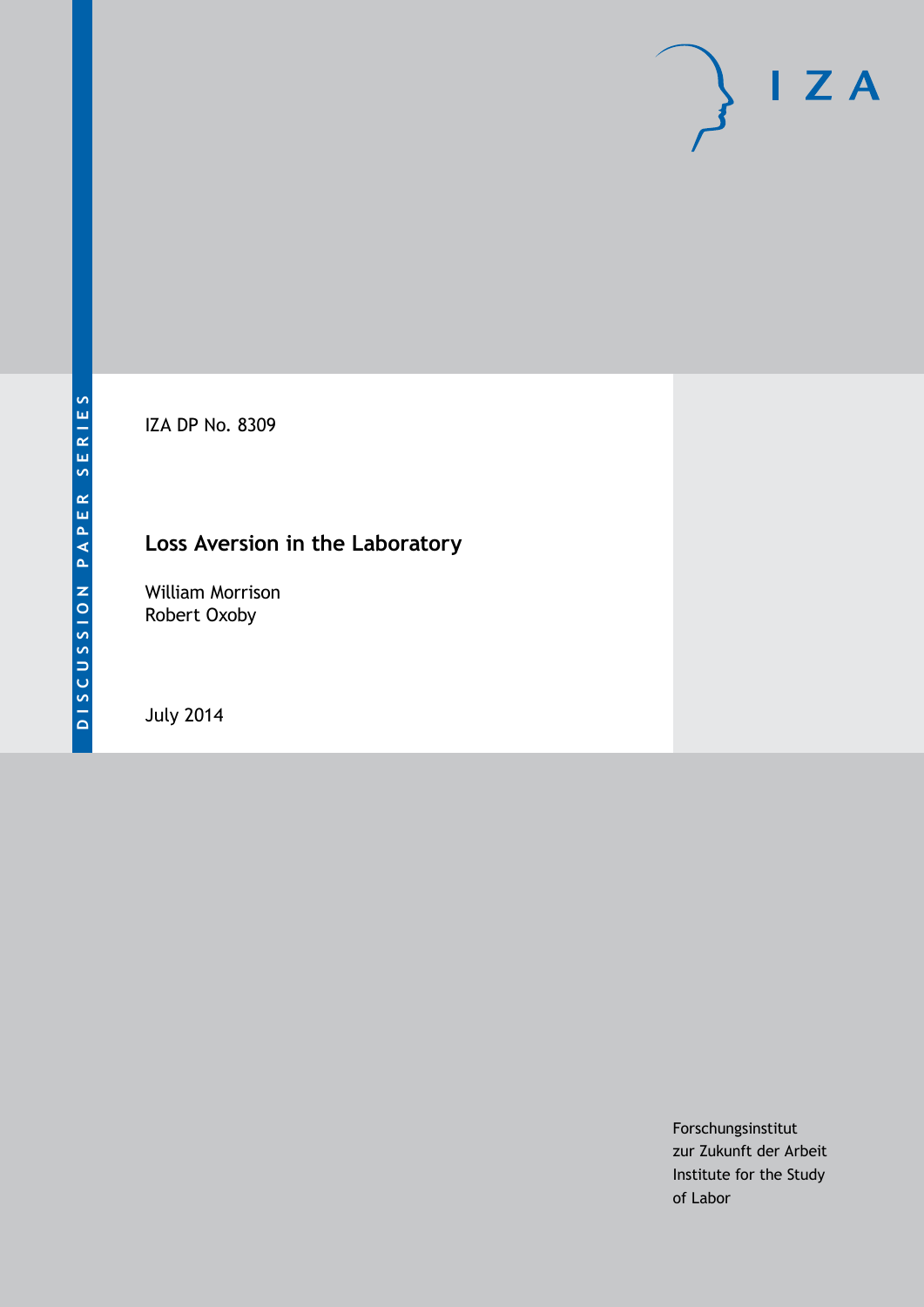IZA DP No. 8309

## **Loss Aversion in the Laboratory**

William Morrison Robert Oxoby

July 2014

Forschungsinstitut zur Zukunft der Arbeit Institute for the Study of Labor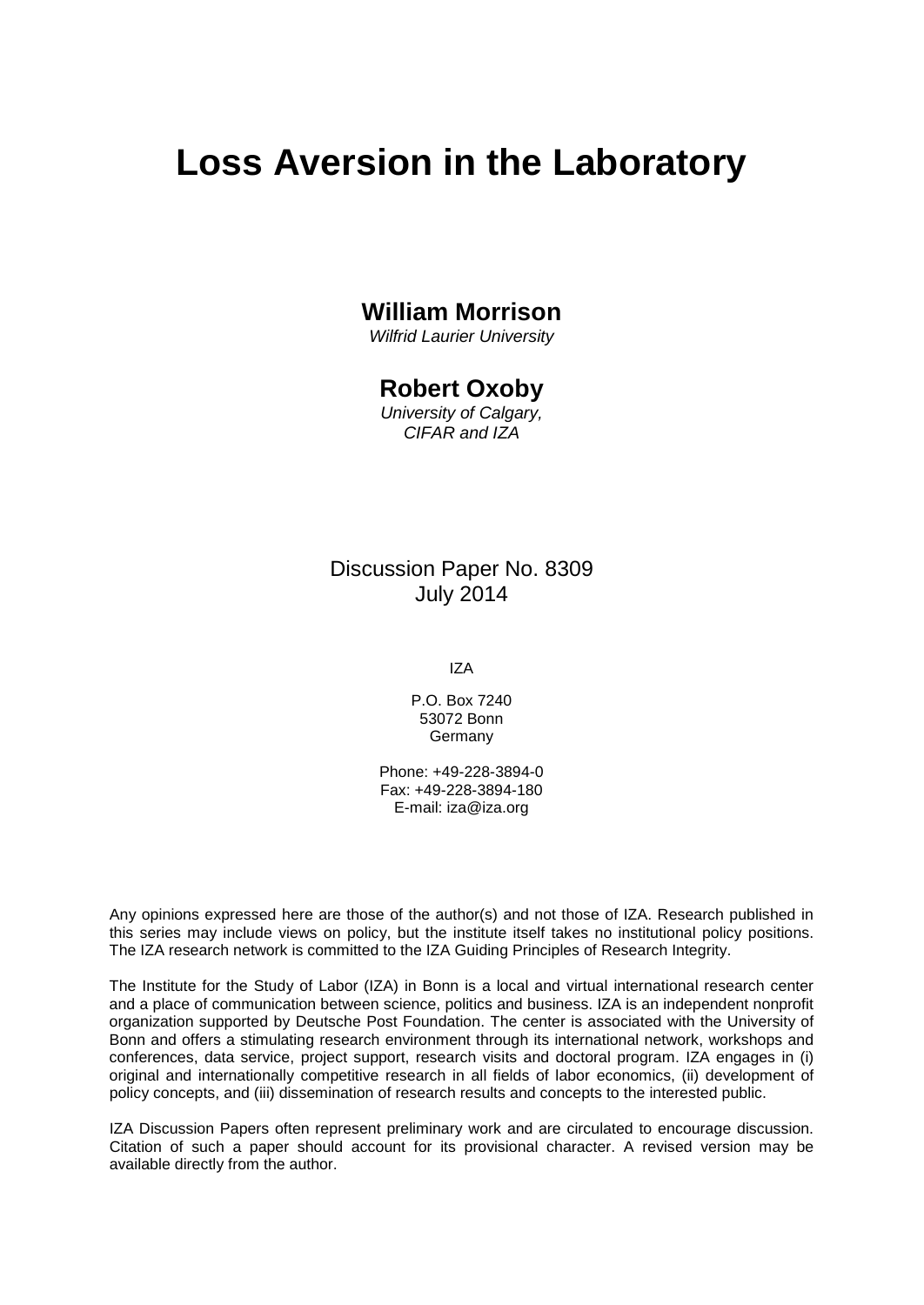# **Loss Aversion in the Laboratory**

### **William Morrison**

*Wilfrid Laurier University*

### **Robert Oxoby**

*University of Calgary, CIFAR and IZA*

### Discussion Paper No. 8309 July 2014

IZA

P.O. Box 7240 53072 Bonn **Germany** 

Phone: +49-228-3894-0 Fax: +49-228-3894-180 E-mail: [iza@iza.org](mailto:iza@iza.org)

Any opinions expressed here are those of the author(s) and not those of IZA. Research published in this series may include views on policy, but the institute itself takes no institutional policy positions. The IZA research network is committed to the IZA Guiding Principles of Research Integrity.

The Institute for the Study of Labor (IZA) in Bonn is a local and virtual international research center and a place of communication between science, politics and business. IZA is an independent nonprofit organization supported by Deutsche Post Foundation. The center is associated with the University of Bonn and offers a stimulating research environment through its international network, workshops and conferences, data service, project support, research visits and doctoral program. IZA engages in (i) original and internationally competitive research in all fields of labor economics, (ii) development of policy concepts, and (iii) dissemination of research results and concepts to the interested public.

<span id="page-1-0"></span>IZA Discussion Papers often represent preliminary work and are circulated to encourage discussion. Citation of such a paper should account for its provisional character. A revised version may be available directly from the author.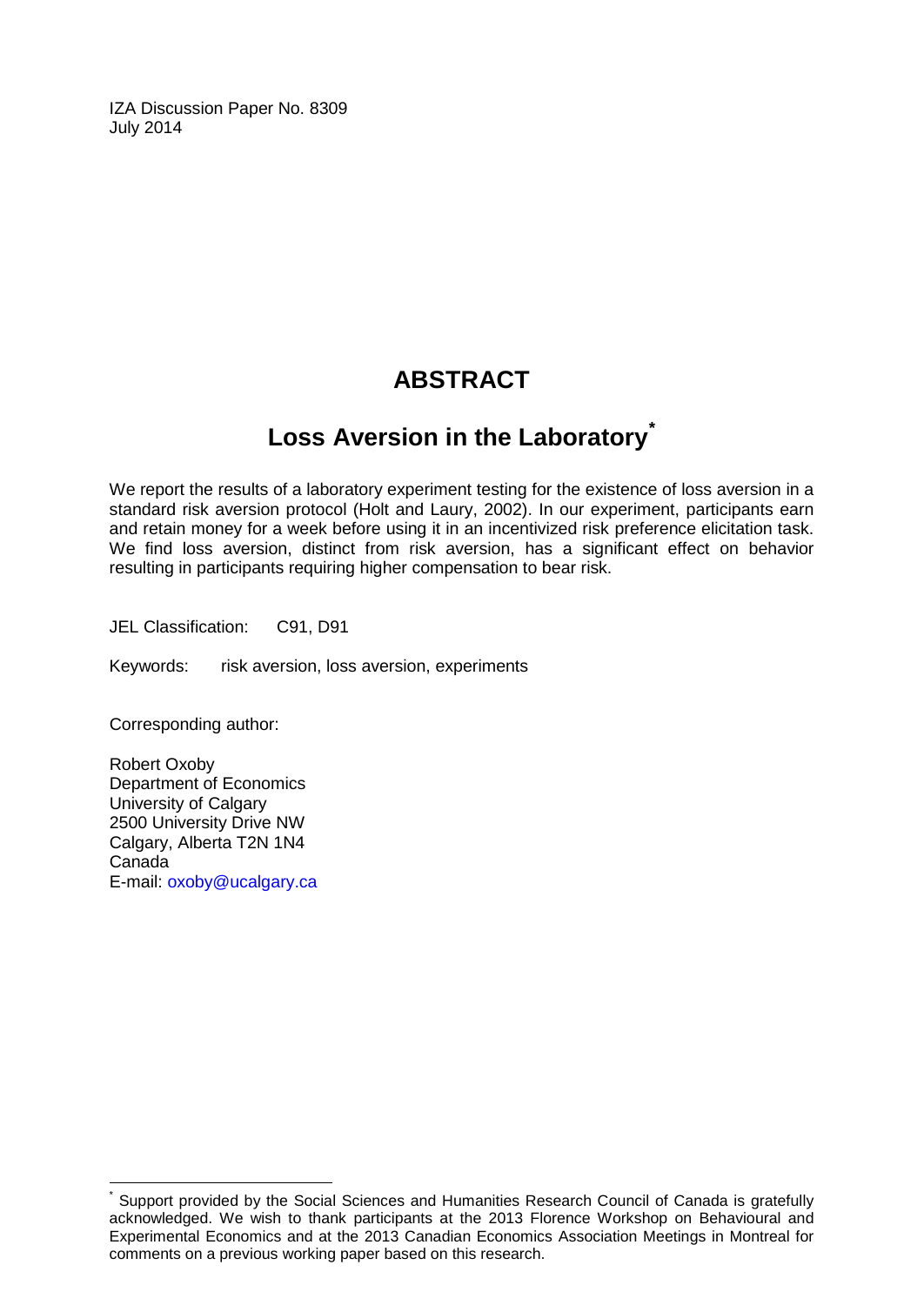IZA Discussion Paper No. 8309 July 2014

## **ABSTRACT**

## **Loss Aversion in the Laboratory[\\*](#page-1-0)**

We report the results of a laboratory experiment testing for the existence of loss aversion in a standard risk aversion protocol (Holt and Laury, 2002). In our experiment, participants earn and retain money for a week before using it in an incentivized risk preference elicitation task. We find loss aversion, distinct from risk aversion, has a significant effect on behavior resulting in participants requiring higher compensation to bear risk.

JEL Classification: C91, D91

Keywords: risk aversion, loss aversion, experiments

Corresponding author:

Robert Oxoby Department of Economics University of Calgary 2500 University Drive NW Calgary, Alberta T2N 1N4 Canada E-mail: [oxoby@ucalgary.ca](mailto:oxoby@ucalgary.ca)

Support provided by the Social Sciences and Humanities Research Council of Canada is gratefully acknowledged. We wish to thank participants at the 2013 Florence Workshop on Behavioural and Experimental Economics and at the 2013 Canadian Economics Association Meetings in Montreal for comments on a previous working paper based on this research.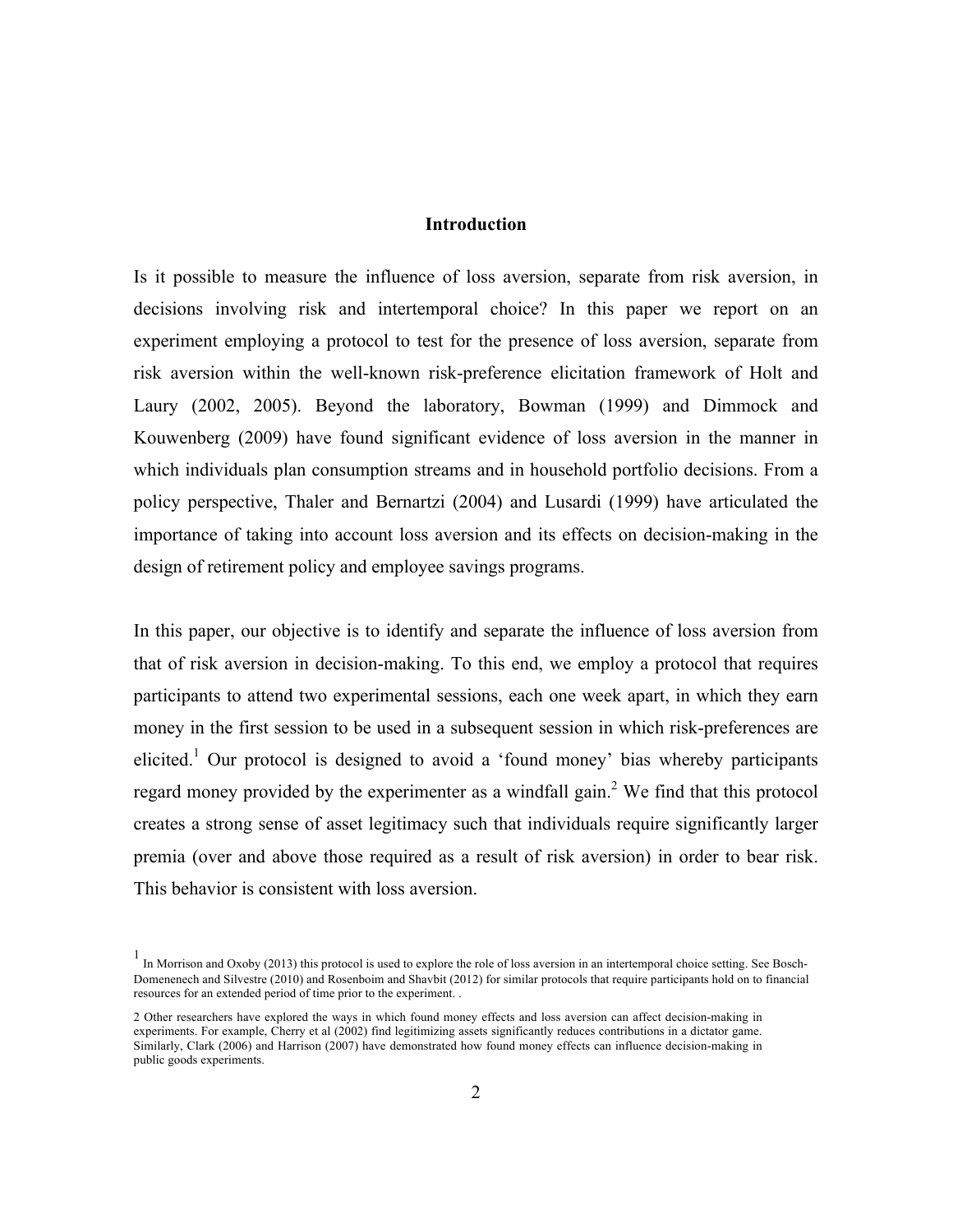### **Introduction**

Is it possible to measure the influence of loss aversion, separate from risk aversion, in decisions involving risk and intertemporal choice? In this paper we report on an experiment employing a protocol to test for the presence of loss aversion, separate from risk aversion within the well-known risk-preference elicitation framework of Holt and Laury (2002, 2005). Beyond the laboratory, Bowman (1999) and Dimmock and Kouwenberg (2009) have found significant evidence of loss aversion in the manner in which individuals plan consumption streams and in household portfolio decisions. From a policy perspective, Thaler and Bernartzi (2004) and Lusardi (1999) have articulated the importance of taking into account loss aversion and its effects on decision-making in the design of retirement policy and employee savings programs.

In this paper, our objective is to identify and separate the influence of loss aversion from that of risk aversion in decision-making. To this end, we employ a protocol that requires participants to attend two experimental sessions, each one week apart, in which they earn money in the first session to be used in a subsequent session in which risk-preferences are elicited.<sup>1</sup> Our protocol is designed to avoid a 'found money' bias whereby participants regard money provided by the experimenter as a windfall gain.<sup>2</sup> We find that this protocol creates a strong sense of asset legitimacy such that individuals require significantly larger premia (over and above those required as a result of risk aversion) in order to bear risk. This behavior is consistent with loss aversion.

<sup>1</sup> In Morrison and Oxoby (2013) this protocol is used to explore the role of loss aversion in an intertemporal choice setting. See Bosch-Domenenech and Silvestre (2010) and Rosenboim and Shavbit (2012) for similar protocols that require participants hold on to financial resources for an extended period of time prior to the experiment. .

<sup>2</sup> Other researchers have explored the ways in which found money effects and loss aversion can affect decision-making in experiments. For example, Cherry et al (2002) find legitimizing assets significantly reduces contributions in a dictator game. Similarly, Clark (2006) and Harrison (2007) have demonstrated how found money effects can influence decision-making in public goods experiments.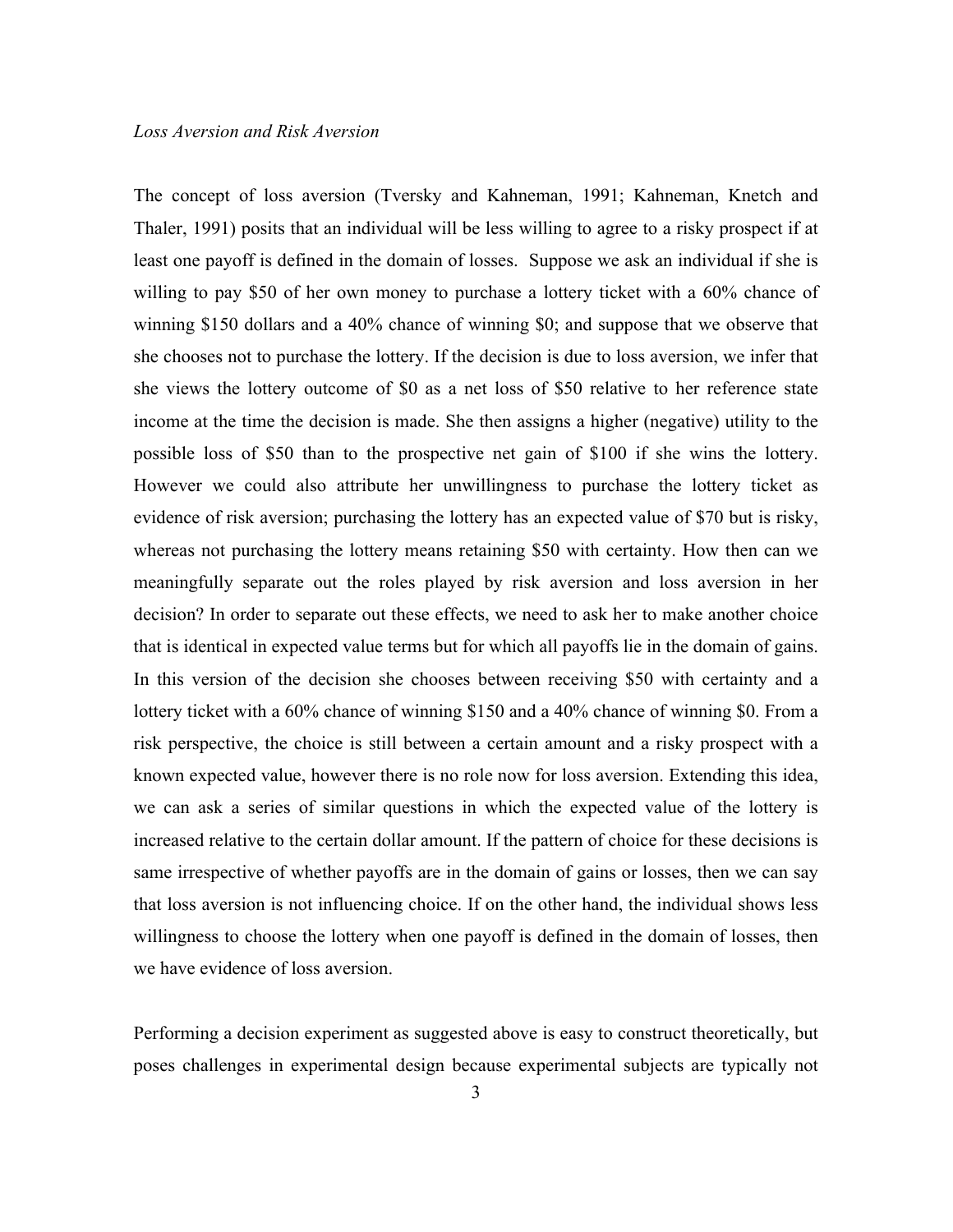The concept of loss aversion (Tversky and Kahneman, 1991; Kahneman, Knetch and Thaler, 1991) posits that an individual will be less willing to agree to a risky prospect if at least one payoff is defined in the domain of losses. Suppose we ask an individual if she is willing to pay \$50 of her own money to purchase a lottery ticket with a 60% chance of winning \$150 dollars and a 40% chance of winning \$0; and suppose that we observe that she chooses not to purchase the lottery. If the decision is due to loss aversion, we infer that she views the lottery outcome of \$0 as a net loss of \$50 relative to her reference state income at the time the decision is made. She then assigns a higher (negative) utility to the possible loss of \$50 than to the prospective net gain of \$100 if she wins the lottery. However we could also attribute her unwillingness to purchase the lottery ticket as evidence of risk aversion; purchasing the lottery has an expected value of \$70 but is risky, whereas not purchasing the lottery means retaining \$50 with certainty. How then can we meaningfully separate out the roles played by risk aversion and loss aversion in her decision? In order to separate out these effects, we need to ask her to make another choice that is identical in expected value terms but for which all payoffs lie in the domain of gains. In this version of the decision she chooses between receiving \$50 with certainty and a lottery ticket with a 60% chance of winning \$150 and a 40% chance of winning \$0. From a risk perspective, the choice is still between a certain amount and a risky prospect with a known expected value, however there is no role now for loss aversion. Extending this idea, we can ask a series of similar questions in which the expected value of the lottery is increased relative to the certain dollar amount. If the pattern of choice for these decisions is same irrespective of whether payoffs are in the domain of gains or losses, then we can say that loss aversion is not influencing choice. If on the other hand, the individual shows less willingness to choose the lottery when one payoff is defined in the domain of losses, then we have evidence of loss aversion.

Performing a decision experiment as suggested above is easy to construct theoretically, but poses challenges in experimental design because experimental subjects are typically not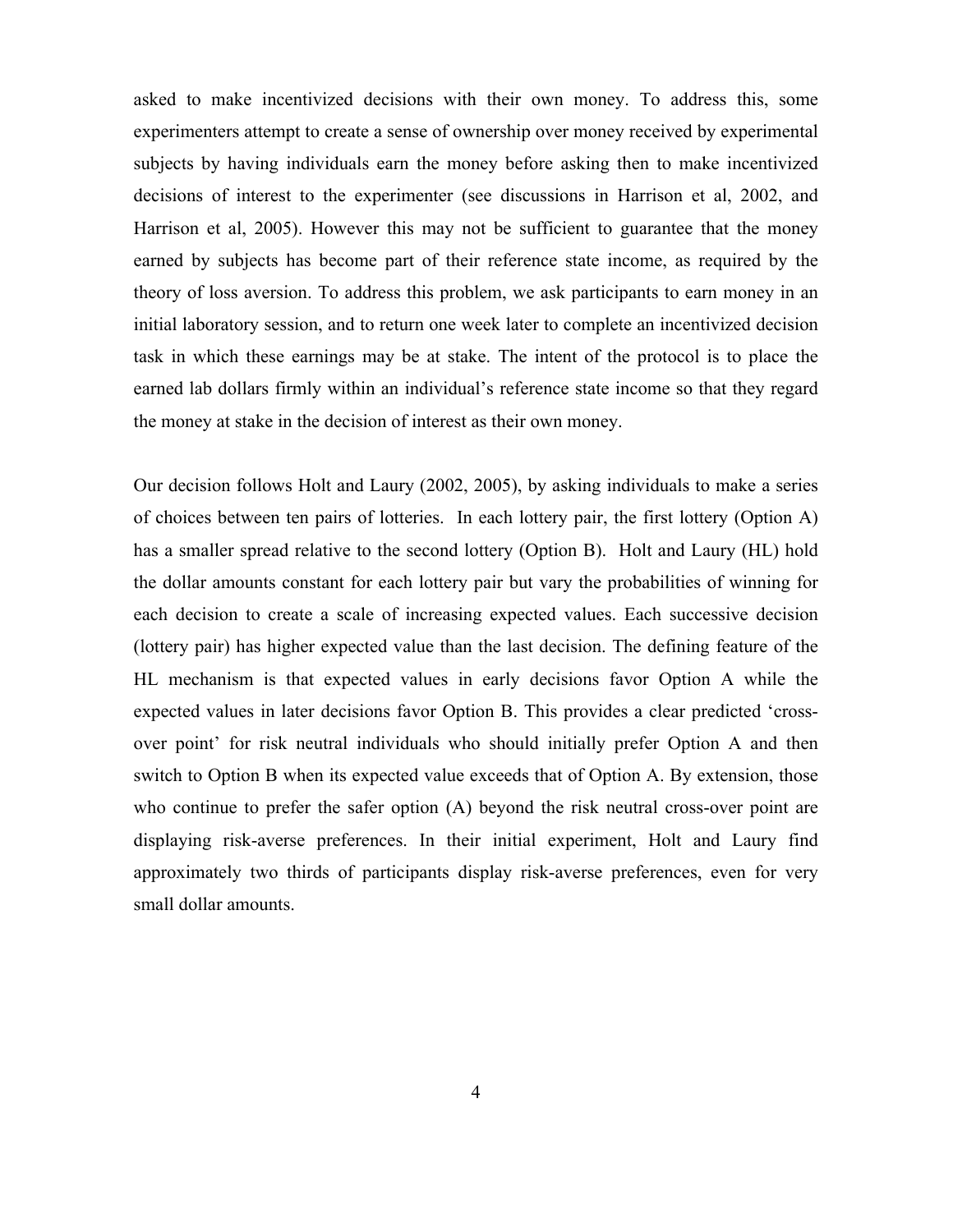asked to make incentivized decisions with their own money. To address this, some experimenters attempt to create a sense of ownership over money received by experimental subjects by having individuals earn the money before asking then to make incentivized decisions of interest to the experimenter (see discussions in Harrison et al, 2002, and Harrison et al, 2005). However this may not be sufficient to guarantee that the money earned by subjects has become part of their reference state income, as required by the theory of loss aversion. To address this problem, we ask participants to earn money in an initial laboratory session, and to return one week later to complete an incentivized decision task in which these earnings may be at stake. The intent of the protocol is to place the earned lab dollars firmly within an individual's reference state income so that they regard the money at stake in the decision of interest as their own money.

Our decision follows Holt and Laury (2002, 2005), by asking individuals to make a series of choices between ten pairs of lotteries. In each lottery pair, the first lottery (Option A) has a smaller spread relative to the second lottery (Option B). Holt and Laury (HL) hold the dollar amounts constant for each lottery pair but vary the probabilities of winning for each decision to create a scale of increasing expected values. Each successive decision (lottery pair) has higher expected value than the last decision. The defining feature of the HL mechanism is that expected values in early decisions favor Option A while the expected values in later decisions favor Option B. This provides a clear predicted 'crossover point' for risk neutral individuals who should initially prefer Option A and then switch to Option B when its expected value exceeds that of Option A. By extension, those who continue to prefer the safer option (A) beyond the risk neutral cross-over point are displaying risk-averse preferences. In their initial experiment, Holt and Laury find approximately two thirds of participants display risk-averse preferences, even for very small dollar amounts.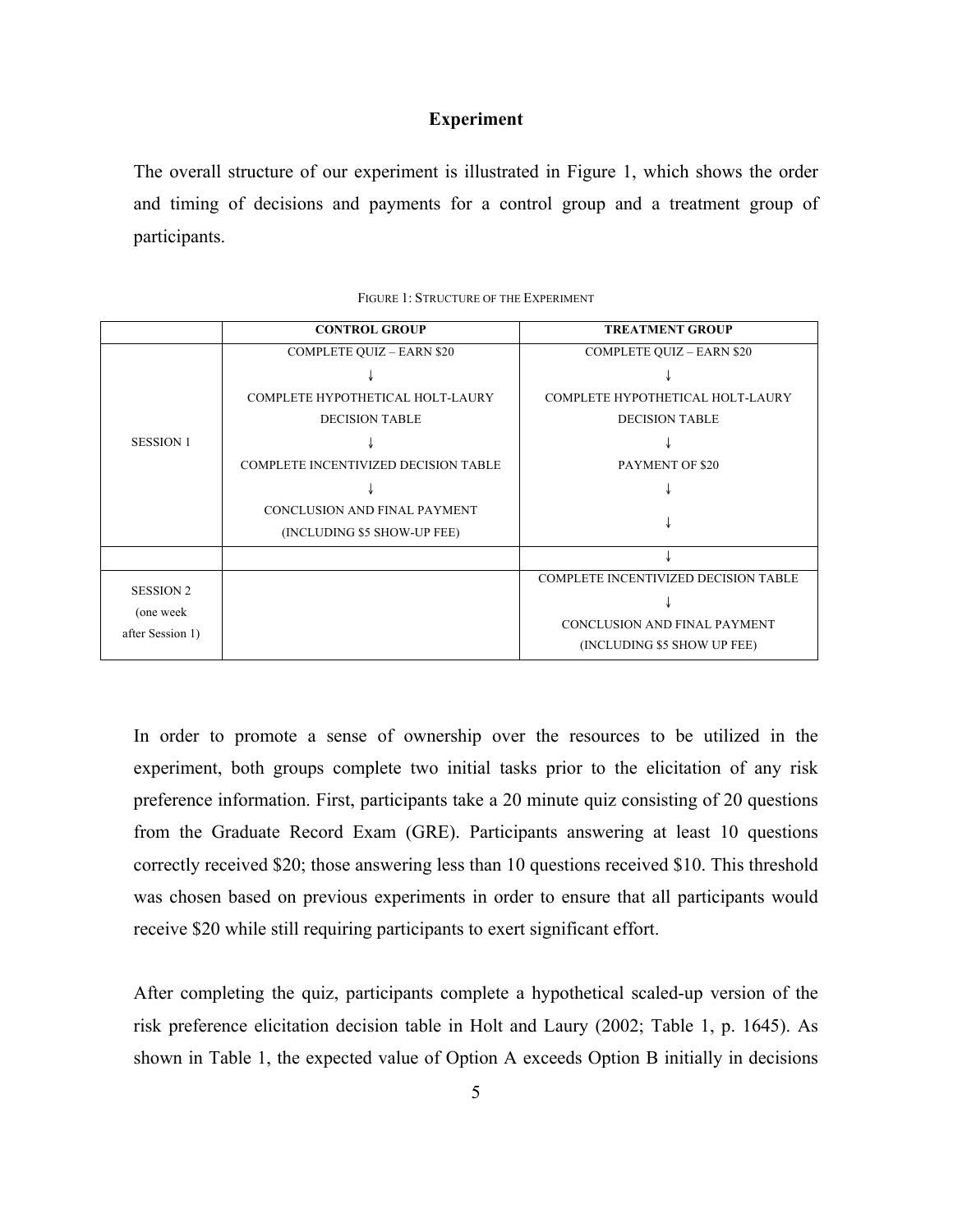### **Experiment**

The overall structure of our experiment is illustrated in Figure 1, which shows the order and timing of decisions and payments for a control group and a treatment group of participants.

|                  | <b>CONTROL GROUP</b>                        | <b>TREATMENT GROUP</b>               |
|------------------|---------------------------------------------|--------------------------------------|
|                  | <b>COMPLETE QUIZ - EARN \$20</b>            | <b>COMPLETE QUIZ - EARN \$20</b>     |
|                  |                                             |                                      |
|                  | COMPLETE HYPOTHETICAL HOLT-LAURY            | COMPLETE HYPOTHETICAL HOLT-LAURY     |
|                  | <b>DECISION TABLE</b>                       | <b>DECISION TABLE</b>                |
| <b>SESSION 1</b> |                                             |                                      |
|                  | <b>COMPLETE INCENTIVIZED DECISION TABLE</b> | PAYMENT OF \$20                      |
|                  |                                             |                                      |
|                  | CONCLUSION AND FINAL PAYMENT                |                                      |
|                  | (INCLUDING \$5 SHOW-UP FEE)                 |                                      |
|                  |                                             |                                      |
| <b>SESSION 2</b> |                                             | COMPLETE INCENTIVIZED DECISION TABLE |
|                  |                                             |                                      |
| (one week        |                                             | CONCLUSION AND FINAL PAYMENT         |
| after Session 1) |                                             | (INCLUDING \$5 SHOW UP FEE)          |

| FIGURE 1: STRUCTURE OF THE EXPERIMENT |  |
|---------------------------------------|--|
|---------------------------------------|--|

In order to promote a sense of ownership over the resources to be utilized in the experiment, both groups complete two initial tasks prior to the elicitation of any risk preference information. First, participants take a 20 minute quiz consisting of 20 questions from the Graduate Record Exam (GRE). Participants answering at least 10 questions correctly received \$20; those answering less than 10 questions received \$10. This threshold was chosen based on previous experiments in order to ensure that all participants would receive \$20 while still requiring participants to exert significant effort.

After completing the quiz, participants complete a hypothetical scaled-up version of the risk preference elicitation decision table in Holt and Laury (2002; Table 1, p. 1645). As shown in Table 1, the expected value of Option A exceeds Option B initially in decisions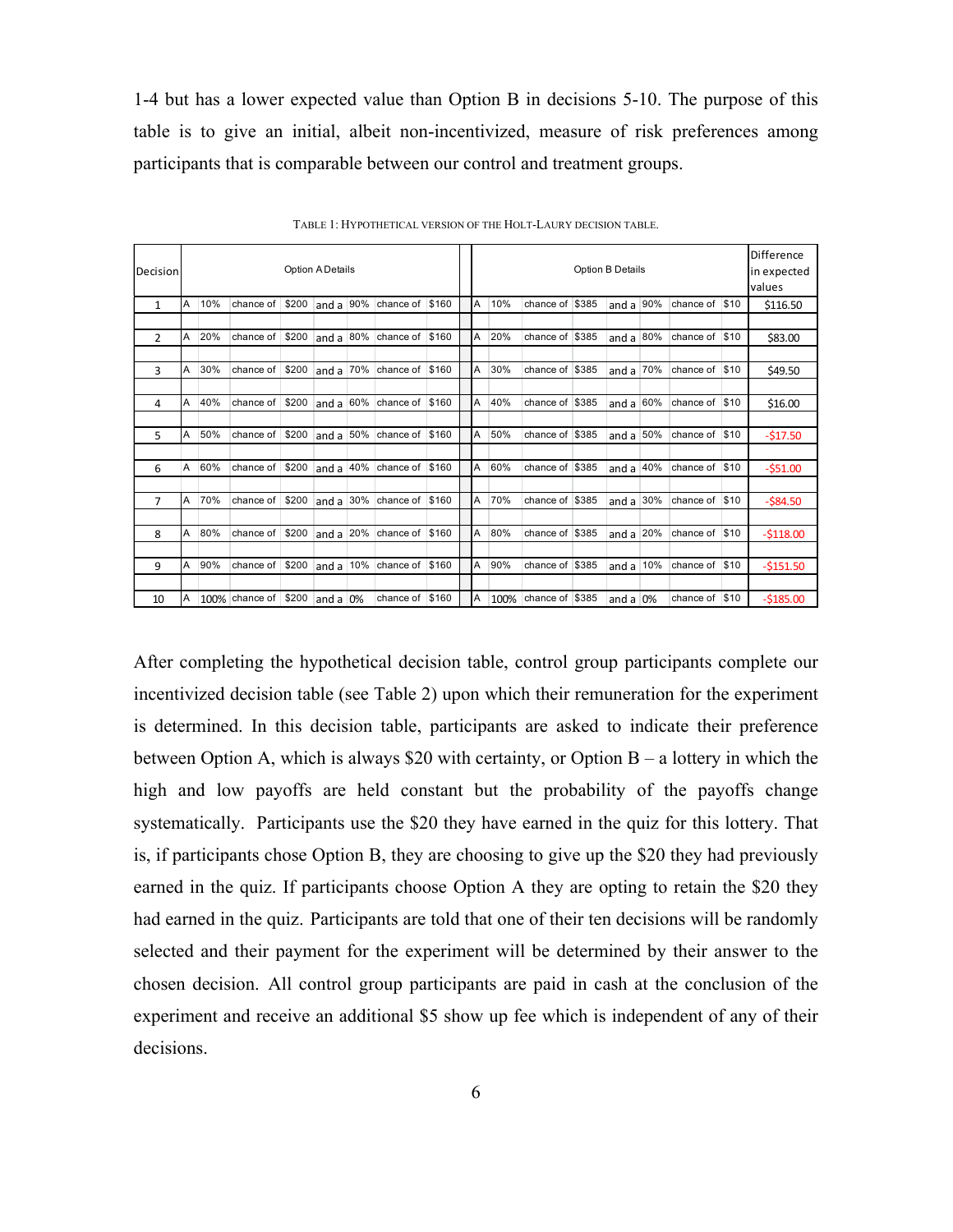1-4 but has a lower expected value than Option B in decisions 5-10. The purpose of this table is to give an initial, albeit non-incentivized, measure of risk preferences among participants that is comparable between our control and treatment groups.

| Decision       | Option A Details |     |                |       |                  |  |                 | Option B Details |    |      |                 |  |               |  |                | Difference<br>in expected<br>values |             |
|----------------|------------------|-----|----------------|-------|------------------|--|-----------------|------------------|----|------|-----------------|--|---------------|--|----------------|-------------------------------------|-------------|
| $\mathbf{1}$   | A                | 10% | chance of      | \$200 | and a $90\%$     |  | chance of \$160 |                  | A  | 10%  | chance of \$385 |  | and a $ 90\%$ |  | chance of \$10 |                                     | \$116.50    |
|                |                  |     |                |       |                  |  |                 |                  |    |      |                 |  |               |  |                |                                     |             |
| $\overline{2}$ | A                | 20% | chance of      | \$200 | and a $ 80\% $   |  | chance of       | \$160            | A  | 20%  | chance of \$385 |  | and a $ 80\%$ |  | chance of      | \$10                                | \$83.00     |
|                |                  |     |                |       |                  |  |                 |                  |    |      |                 |  |               |  |                |                                     |             |
| 3              | A                | 30% | chance of      | \$200 | and a $70%$      |  | chance of \$160 |                  | A  | 30%  | chance of \$385 |  | and a $70%$   |  | chance of \$10 |                                     | \$49.50     |
|                |                  |     |                |       |                  |  |                 |                  |    |      |                 |  |               |  |                |                                     |             |
| 4              | A                | 40% | chance of      | \$200 | and a $ 60\% $   |  | chance of \$160 |                  | A  | 40%  | chance of \$385 |  | and a $ 60\%$ |  | chance of      | \$10                                | \$16.00     |
|                |                  |     |                |       |                  |  |                 |                  |    |      |                 |  |               |  |                |                                     |             |
| 5              | A                | 50% | chance of      | \$200 | and a $50%$      |  | chance of       | \$160            | A  | 50%  | chance of \$385 |  | and a $ 50\%$ |  | chance of      | \$10                                | $-517.50$   |
|                |                  |     |                |       |                  |  |                 |                  |    |      |                 |  |               |  |                |                                     |             |
| 6              | A                | 60% | chance of      | \$200 | and a $ 40\% $   |  | chance of \$160 |                  | A  | 60%  | chance of \$385 |  | and a $ 40\%$ |  | chance of \$10 |                                     | $-551.00$   |
|                |                  |     |                |       |                  |  |                 |                  |    |      |                 |  |               |  |                |                                     |             |
| $\overline{7}$ | A                | 70% | chance of      | \$200 | and a $ 30\% $   |  | chance of \$160 |                  | A  | 70%  | chance of \$385 |  | and a $ 30\%$ |  | chance of      | \$10                                | $-$ \$84.50 |
|                |                  |     |                |       |                  |  |                 |                  |    |      |                 |  |               |  |                |                                     |             |
| 8              | A                | 80% | chance of      | \$200 | and a $ 20\% $   |  | chance of \$160 |                  | A  | 80%  | chance of \$385 |  | and a $ 20\%$ |  | chance of \$10 |                                     | $-5118.00$  |
|                |                  |     |                |       |                  |  |                 |                  |    |      |                 |  |               |  |                |                                     |             |
| 9              | A                | 90% | chance of      | \$200 | and a $10\%$     |  | chance of \$160 |                  | ΙA | 90%  | chance of \$385 |  | and a $10%$   |  | chance of      | \$10                                | $-5151.50$  |
|                |                  |     |                |       |                  |  |                 |                  |    |      |                 |  |               |  |                |                                     |             |
| 10             | A                |     | 100% chance of | \$200 | $ $ and a $ 0\%$ |  | chance of \$160 |                  | IΑ | 100% | chance of \$385 |  | and a $0\%$   |  | chance of      | \$10                                | $-5185.00$  |

TABLE 1: HYPOTHETICAL VERSION OF THE HOLT-LAURY DECISION TABLE.

After completing the hypothetical decision table, control group participants complete our incentivized decision table (see Table 2) upon which their remuneration for the experiment is determined. In this decision table, participants are asked to indicate their preference between Option A, which is always \$20 with certainty, or Option  $B - a$  lottery in which the high and low payoffs are held constant but the probability of the payoffs change systematically. Participants use the \$20 they have earned in the quiz for this lottery. That is, if participants chose Option B, they are choosing to give up the \$20 they had previously earned in the quiz. If participants choose Option A they are opting to retain the \$20 they had earned in the quiz. Participants are told that one of their ten decisions will be randomly selected and their payment for the experiment will be determined by their answer to the chosen decision. All control group participants are paid in cash at the conclusion of the experiment and receive an additional \$5 show up fee which is independent of any of their decisions.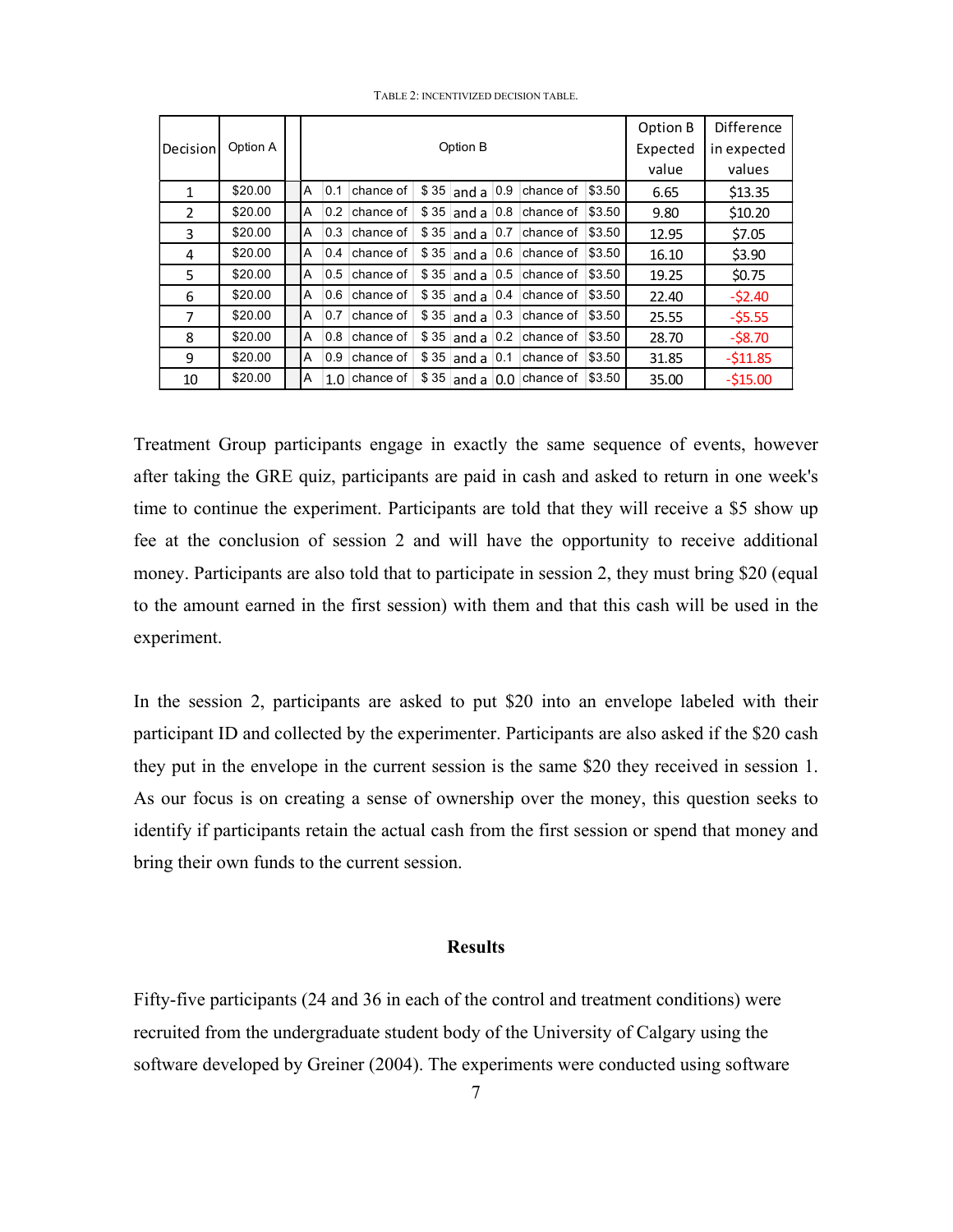|                |          |   |                      |           |       |                   |        |           |        | Option B | <b>Difference</b> |
|----------------|----------|---|----------------------|-----------|-------|-------------------|--------|-----------|--------|----------|-------------------|
| Decision       | Option A |   | Option B<br>Expected |           |       |                   |        |           |        |          | in expected       |
|                |          |   |                      |           |       | value             | values |           |        |          |                   |
| 1              | \$20.00  | A | 0.1                  | chance of |       | $$35$ and a       | 0.9    | chance of | \$3.50 | 6.65     | \$13.35           |
| $\mathfrak{p}$ | \$20.00  | A | 0.2                  | chance of | \$35  | and a             | 0.8    | chance of | \$3.50 | 9.80     | \$10.20           |
| 3              | \$20.00  | A | 0.3                  | chance of | \$35  | and a             | 0.7    | chance of | \$3.50 | 12.95    | \$7.05            |
| 4              | \$20.00  | A | 0.4                  | chance of | \$ 35 | and a             | 0.6    | chance of | \$3.50 | 16.10    | \$3.90            |
| 5.             | \$20.00  | A | 0.5                  | chance of | \$35  | and a             | 0.5    | chance of | \$3.50 | 19.25    | \$0.75            |
| 6              | \$20.00  | A | 0.6                  | chance of | \$35  | $ $ and a $ 0.4 $ |        | chance of | \$3.50 | 22.40    | $-52.40$          |
| 7              | \$20.00  | A | 0.7                  | chance of | \$35  | and a             | 0.3    | chance of | \$3.50 | 25.55    | $-55.55$          |
| 8              | \$20.00  | A | 0.8                  | chance of | \$ 35 | and a             | 0.2    | chance of | \$3.50 | 28.70    | $-58.70$          |
| 9              | \$20.00  | A | 0.9                  | chance of | \$ 35 | and a             | 0.1    | chance of | \$3.50 | 31.85    | $-511.85$         |
| 10             | \$20.00  | Α | 1.0                  | chance of | \$35  | and a             | 0.0    | chance of | \$3.50 | 35.00    | $-515.00$         |

TABLE 2: INCENTIVIZED DECISION TABLE.

Treatment Group participants engage in exactly the same sequence of events, however after taking the GRE quiz, participants are paid in cash and asked to return in one week's time to continue the experiment. Participants are told that they will receive a \$5 show up fee at the conclusion of session 2 and will have the opportunity to receive additional money. Participants are also told that to participate in session 2, they must bring \$20 (equal to the amount earned in the first session) with them and that this cash will be used in the experiment.

In the session 2, participants are asked to put \$20 into an envelope labeled with their participant ID and collected by the experimenter. Participants are also asked if the \$20 cash they put in the envelope in the current session is the same \$20 they received in session 1. As our focus is on creating a sense of ownership over the money, this question seeks to identify if participants retain the actual cash from the first session or spend that money and bring their own funds to the current session.

#### **Results**

Fifty-five participants (24 and 36 in each of the control and treatment conditions) were recruited from the undergraduate student body of the University of Calgary using the software developed by Greiner (2004). The experiments were conducted using software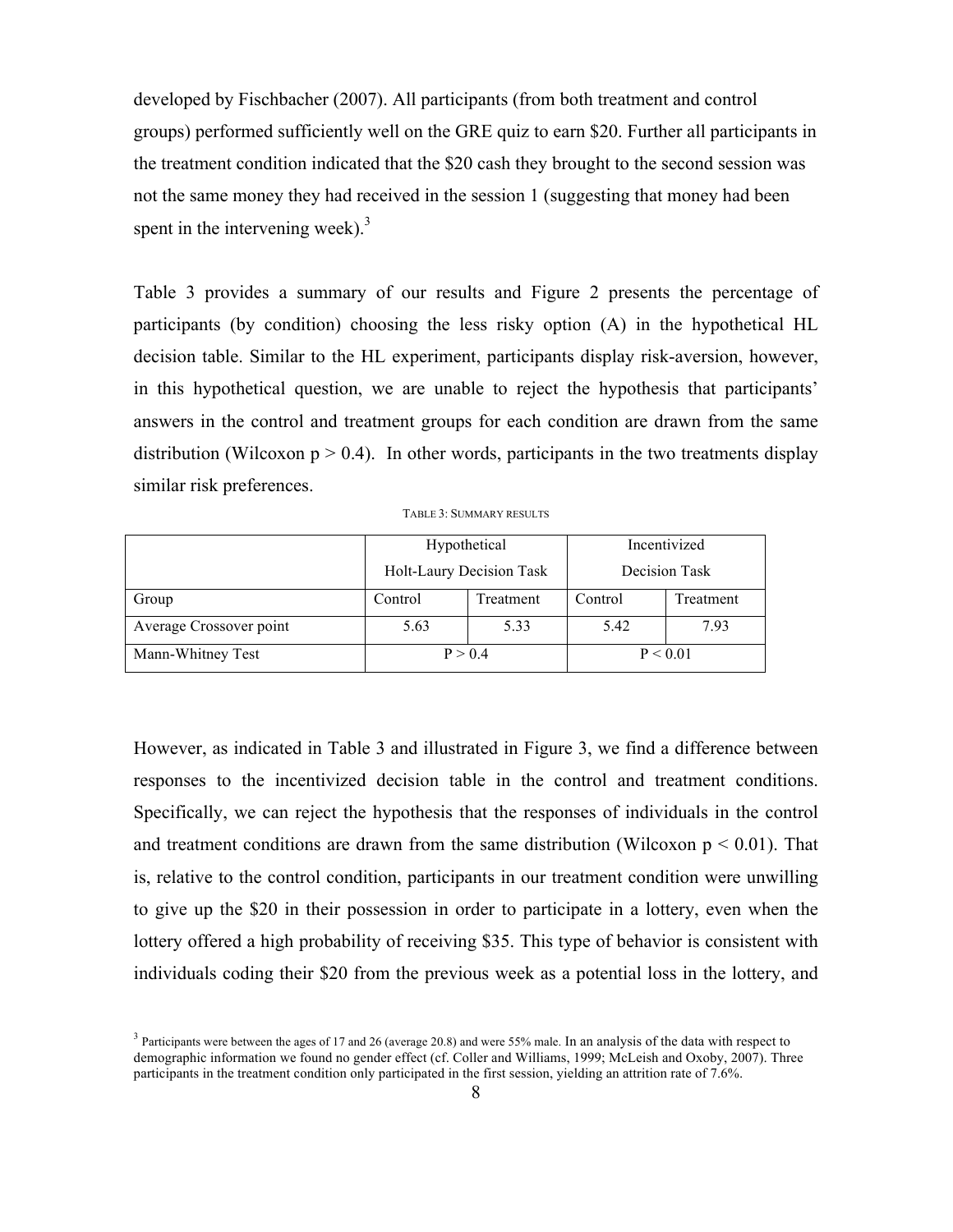developed by Fischbacher (2007). All participants (from both treatment and control groups) performed sufficiently well on the GRE quiz to earn \$20. Further all participants in the treatment condition indicated that the \$20 cash they brought to the second session was not the same money they had received in the session 1 (suggesting that money had been spent in the intervening week). $3$ 

Table 3 provides a summary of our results and Figure 2 presents the percentage of participants (by condition) choosing the less risky option (A) in the hypothetical HL decision table. Similar to the HL experiment, participants display risk-aversion, however, in this hypothetical question, we are unable to reject the hypothesis that participants' answers in the control and treatment groups for each condition are drawn from the same distribution (Wilcoxon  $p > 0.4$ ). In other words, participants in the two treatments display similar risk preferences.

TABLE 3: SUMMARY RESULTS

|                         | Hypothetical             |           | Incentivized  |           |  |  |
|-------------------------|--------------------------|-----------|---------------|-----------|--|--|
|                         | Holt-Laury Decision Task |           | Decision Task |           |  |  |
| Group                   | Control                  | Treatment | Control       | Treatment |  |  |
| Average Crossover point | 5.63                     | 5.33      | 5.42          | 7.93      |  |  |
| Mann-Whitney Test       | P > 0.4                  |           | P < 0.01      |           |  |  |

However, as indicated in Table 3 and illustrated in Figure 3, we find a difference between responses to the incentivized decision table in the control and treatment conditions. Specifically, we can reject the hypothesis that the responses of individuals in the control and treatment conditions are drawn from the same distribution (Wilcoxon  $p \leq 0.01$ ). That is, relative to the control condition, participants in our treatment condition were unwilling to give up the \$20 in their possession in order to participate in a lottery, even when the lottery offered a high probability of receiving \$35. This type of behavior is consistent with individuals coding their \$20 from the previous week as a potential loss in the lottery, and

<sup>&</sup>lt;sup>3</sup> Participants were between the ages of 17 and 26 (average 20.8) and were 55% male. In an analysis of the data with respect to demographic information we found no gender effect (cf. Coller and Williams, 1999; McLeish and Oxoby, 2007). Three participants in the treatment condition only participated in the first session, yielding an attrition rate of 7.6%.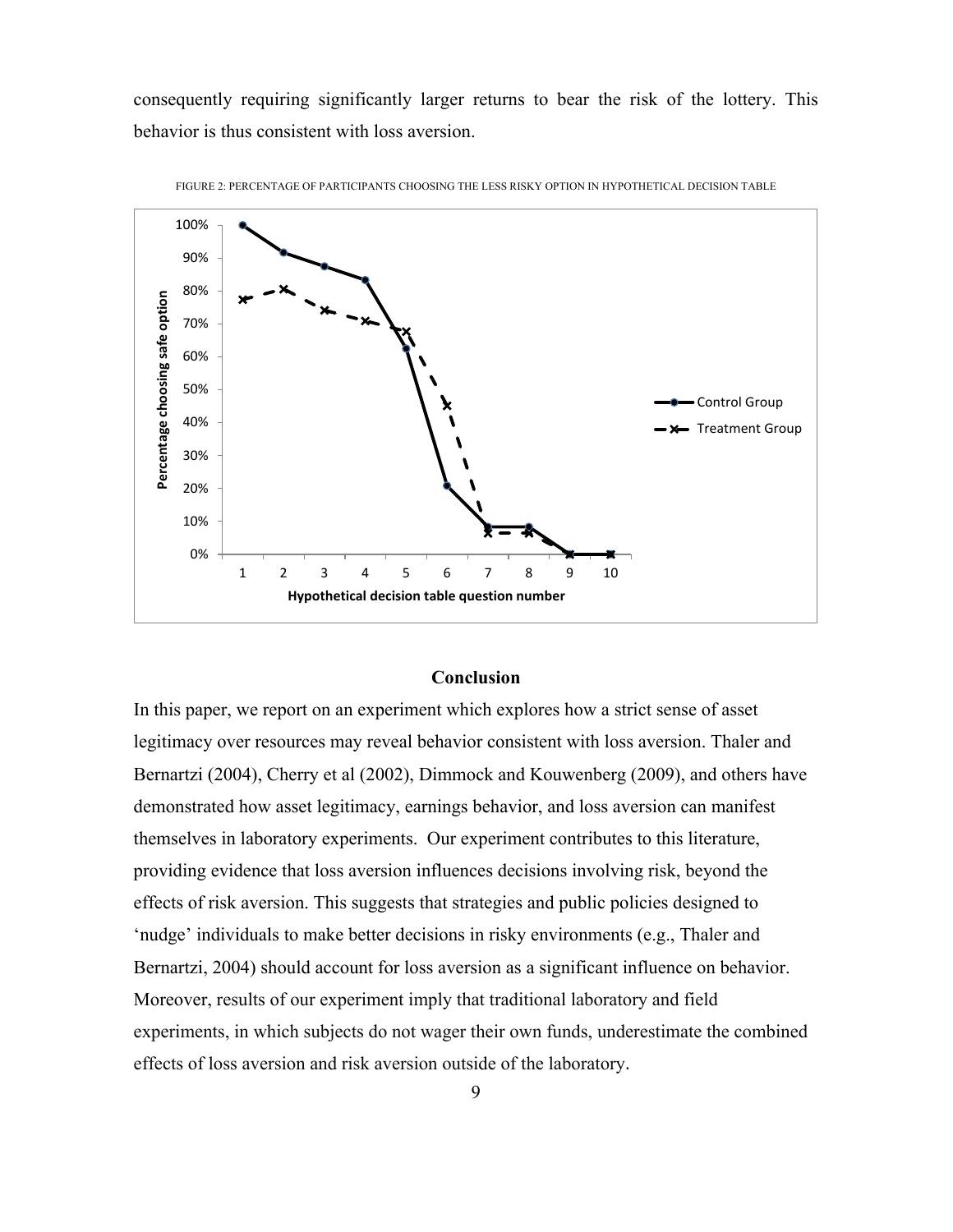consequently requiring significantly larger returns to bear the risk of the lottery. This behavior is thus consistent with loss aversion.



FIGURE 2: PERCENTAGE OF PARTICIPANTS CHOOSING THE LESS RISKY OPTION IN HYPOTHETICAL DECISION TABLE

### **Conclusion**

In this paper, we report on an experiment which explores how a strict sense of asset legitimacy over resources may reveal behavior consistent with loss aversion. Thaler and Bernartzi (2004), Cherry et al (2002), Dimmock and Kouwenberg (2009), and others have demonstrated how asset legitimacy, earnings behavior, and loss aversion can manifest themselves in laboratory experiments. Our experiment contributes to this literature, providing evidence that loss aversion influences decisions involving risk, beyond the effects of risk aversion. This suggests that strategies and public policies designed to 'nudge' individuals to make better decisions in risky environments (e.g., Thaler and Bernartzi, 2004) should account for loss aversion as a significant influence on behavior. Moreover, results of our experiment imply that traditional laboratory and field experiments, in which subjects do not wager their own funds, underestimate the combined effects of loss aversion and risk aversion outside of the laboratory.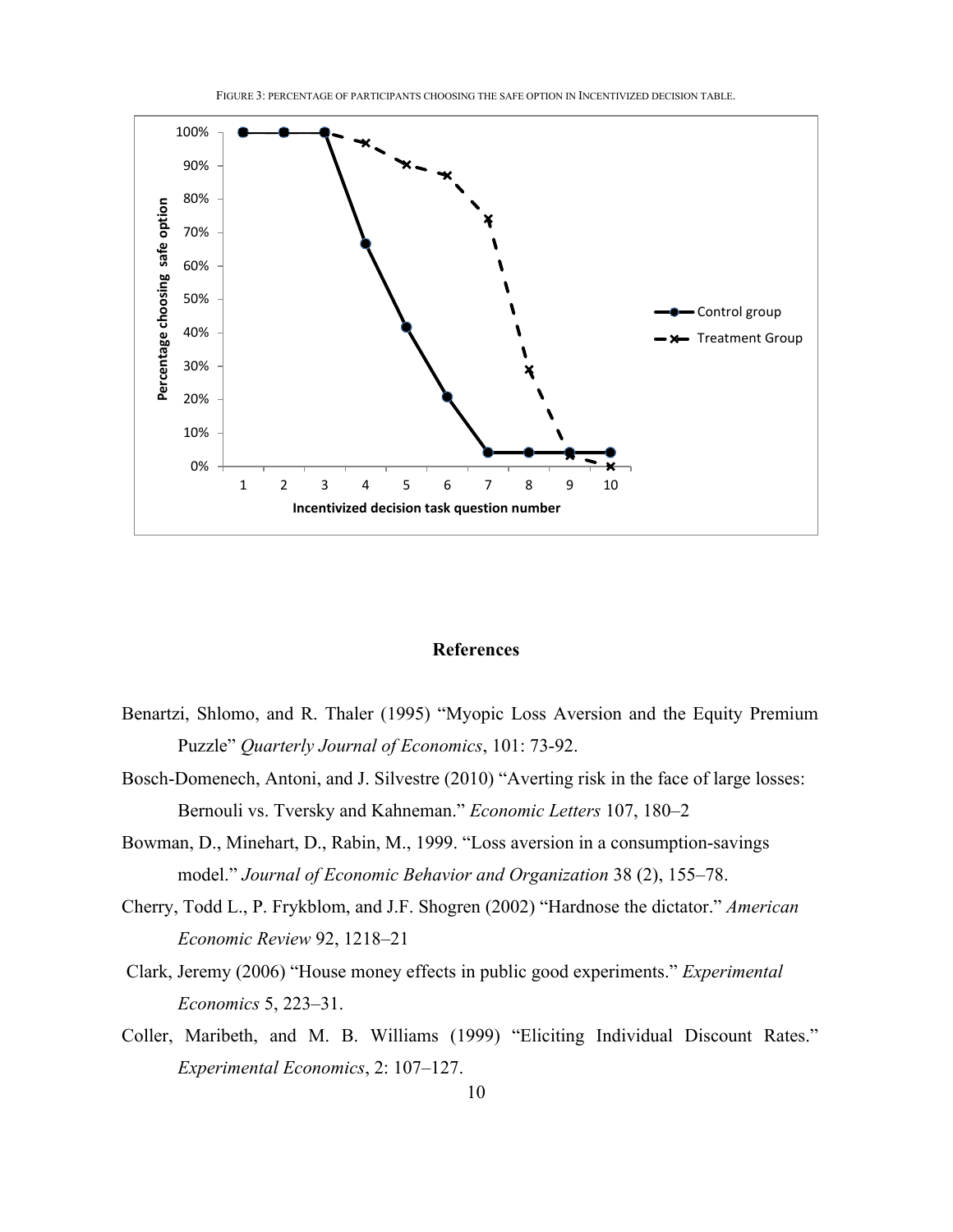

#### **References**

- Benartzi, Shlomo, and R. Thaler (1995) "Myopic Loss Aversion and the Equity Premium Puzzle" *Quarterly Journal of Economics*, 101: 73-92.
- Bosch-Domenech, Antoni, and J. Silvestre (2010) "Averting risk in the face of large losses: Bernouli vs. Tversky and Kahneman." *Economic Letters* 107, 180–2
- Bowman, D., Minehart, D., Rabin, M., 1999. "Loss aversion in a consumption-savings model." *Journal of Economic Behavior and Organization* 38 (2), 155–78.
- Cherry, Todd L., P. Frykblom, and J.F. Shogren (2002) "Hardnose the dictator." *American Economic Review* 92, 1218–21
- Clark, Jeremy (2006) "House money effects in public good experiments." *Experimental Economics* 5, 223–31.
- Coller, Maribeth, and M. B. Williams (1999) "Eliciting Individual Discount Rates." *Experimental Economics*, 2: 107–127.